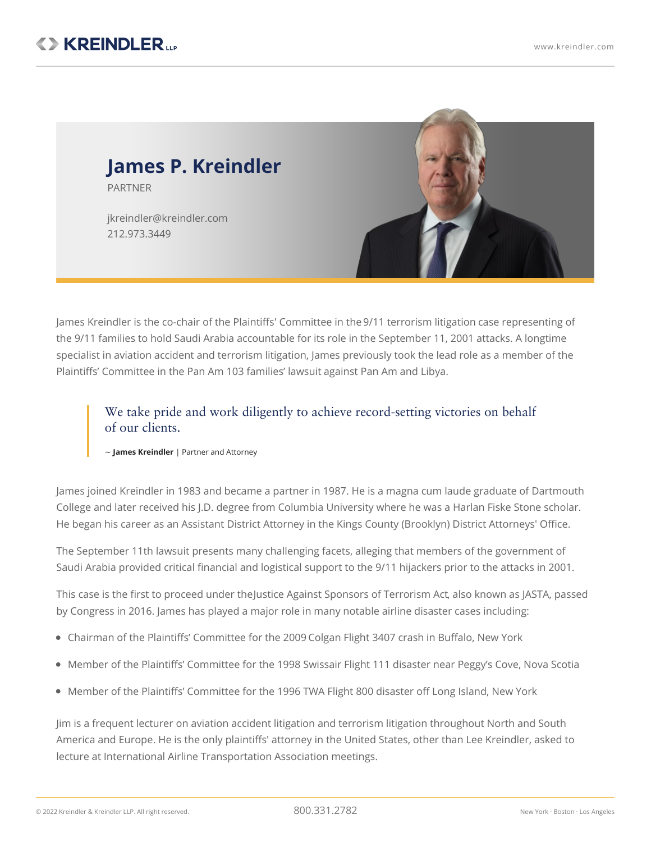

James Kreindler is the co-chair of the Plaintiffs' Committee in the 9/11 [terrorism](https://www.kreindler.com/articles/the-9-11-tort-litigation-five-years-on) litigation case representing of the 9/11 families to hold Saudi Arabia accountable for its role in the September 11, 2001 attacks. A longtime specialist in aviation accident and terrorism litigation, James previously took the lead role as a member of the Plaintiffs' Committee in the Pan Am 103 [families'](https://www.kreindler.com/cases/final-settlement-payment-pan-am-flight-103) lawsuit against Pan Am and Libya.

We take pride and work diligently to achieve record-setting victories on behalf of our clients.

~ **James Kreindler** | Partner and Attorney

James joined Kreindler in 1983 and became a partner in 1987. He is a magna cum laude graduate of Dartmouth College and later received his J.D. degree from Columbia University where he was a Harlan Fiske Stone scholar. He began his career as an Assistant District Attorney in the Kings County (Brooklyn) District Attorneys' Office.

The September 11th lawsuit presents many challenging facets, alleging that members of the government of Saudi Arabia provided critical financial and logistical support to the 9/11 hijackers prior to the attacks in 2001.

This case is the first to proceed under theJustice Against Sponsors of [Terrorism](https://www.kreindler.com/articles/door-opens-to-9-11-claims-against-foreign-governments) Act, also known as JASTA, passed by Congress in 2016. James has played a major role in many notable airline disaster cases including:

- Chairman of the Plaintiffs' Committee for the 2009 [Colgan](https://www.kreindler.com/articles/comair-5191-colgan-3407) Flight 3407 crash in Buffalo, New York
- Member of the Plaintiffs' Committee for the 1998 Swissair Flight 111 disaster near Peggy's Cove, Nova Scotia
- $\bullet$  Member of the Plaintiffs' Committee for the 1996 TWA Flight 800 disaster off Long Island, New York

Jim is a frequent lecturer on aviation accident litigation and terrorism litigation throughout North and South America and Europe. He is the only plaintiffs' attorney in the United States, other than Lee Kreindler, asked to lecture at International Airline Transportation Association meetings.